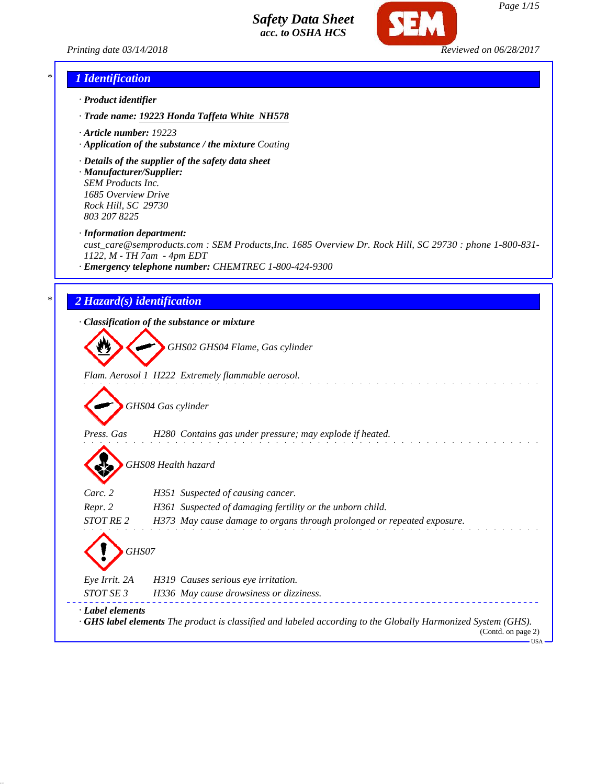



### *\* 1 Identification*

- *· Product identifier*
- *· Trade name: 19223 Honda Taffeta White NH578*
- *· Article number: 19223*
- *· Application of the substance / the mixture Coating*
- *· Details of the supplier of the safety data sheet*
- *· Manufacturer/Supplier: SEM Products Inc. 1685 Overview Drive Rock Hill, SC 29730 803 207 8225*
- *· Information department:*

*cust\_care@semproducts.com : SEM Products,Inc. 1685 Overview Dr. Rock Hill, SC 29730 : phone 1-800-831- 1122, M - TH 7am - 4pm EDT*

*· Emergency telephone number: CHEMTREC 1-800-424-9300*

## *\* 2 Hazard(s) identification*

*· Classification of the substance or mixture*

*GHS02 GHS04 Flame, Gas cylinder*

*Flam. Aerosol 1 H222 Extremely flammable aerosol.*

*GHS04 Gas cylinder*

*Press. Gas H280 Contains gas under pressure; may explode if heated.*

*GHS08 Health hazard*

| Carc. 2                            | H351 Suspected of causing cancer.                                       |
|------------------------------------|-------------------------------------------------------------------------|
| Repr. 2                            | H361 Suspected of damaging fertility or the unborn child.               |
| STOT RE 2                          | H373 May cause damage to organs through prolonged or repeated exposure. |
| $\left\langle \right\rangle$ GHS07 |                                                                         |
| Eye Irrit. 2A                      | H319 Causes serious eye irritation.                                     |
|                                    |                                                                         |

*STOT SE 3 H336 May cause drowsiness or dizziness. · Label elements · GHS label elements The product is classified and labeled according to the Globally Harmonized System (GHS).* (Contd. on page 2)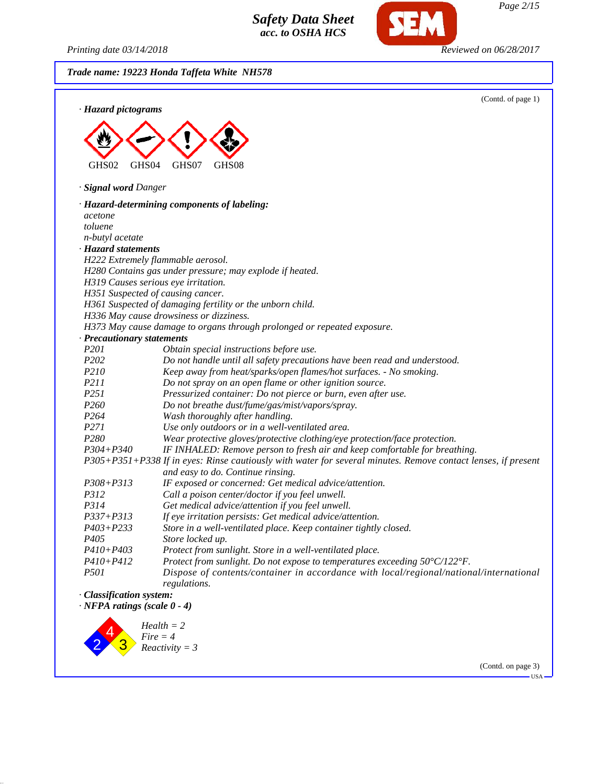*Printing date 03/14/2018 Reviewed on 06/28/2017*

*Page 2/15*

*Trade name: 19223 Honda Taffeta White NH578* (Contd. of page 1) *· Hazard pictograms* GHS02 GHS04 GHS07 GHS08 *· Signal word Danger · Hazard-determining components of labeling: acetone toluene n-butyl acetate · Hazard statements H222 Extremely flammable aerosol. H280 Contains gas under pressure; may explode if heated. H319 Causes serious eye irritation. H351 Suspected of causing cancer. H361 Suspected of damaging fertility or the unborn child. H336 May cause drowsiness or dizziness. H373 May cause damage to organs through prolonged or repeated exposure. · Precautionary statements P201 Obtain special instructions before use. P202 Do not handle until all safety precautions have been read and understood. P210 Keep away from heat/sparks/open flames/hot surfaces. - No smoking. P211 Do not spray on an open flame or other ignition source. P251 Pressurized container: Do not pierce or burn, even after use. P260 Do not breathe dust/fume/gas/mist/vapors/spray. P264 Wash thoroughly after handling. P271 Use only outdoors or in a well-ventilated area. P280 Wear protective gloves/protective clothing/eye protection/face protection. P304+P340 IF INHALED: Remove person to fresh air and keep comfortable for breathing. P305+P351+P338 If in eyes: Rinse cautiously with water for several minutes. Remove contact lenses, if present and easy to do. Continue rinsing. P308+P313 IF exposed or concerned: Get medical advice/attention. P312 Call a poison center/doctor if you feel unwell. P314 Get medical advice/attention if you feel unwell. P337+P313 If eye irritation persists: Get medical advice/attention. P403+P233 Store in a well-ventilated place. Keep container tightly closed. P405 Store locked up. P410+P403 Protect from sunlight. Store in a well-ventilated place. P410+P412 Protect from sunlight. Do not expose to temperatures exceeding 50°C/122°F. P501 Dispose of contents/container in accordance with local/regional/national/international regulations. · Classification system: · NFPA ratings (scale 0 - 4)* 4 *Health = 2 Fire = 4*



(Contd. on page 3)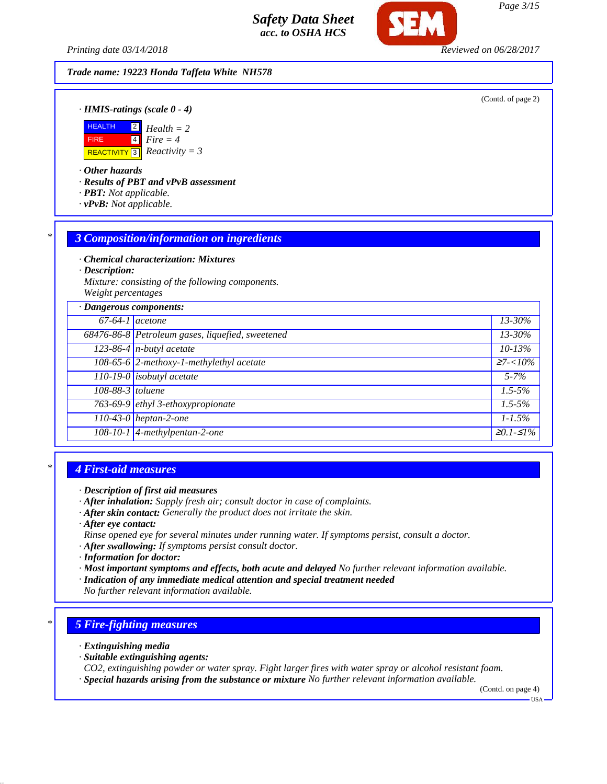*Printing date 03/14/2018 Reviewed on 06/28/2017*

*Trade name: 19223 Honda Taffeta White NH578*

(Contd. of page 2)

*· HMIS-ratings (scale 0 - 4)*



*· Other hazards*

*· Results of PBT and vPvB assessment*

- *· PBT: Not applicable.*
- *· vPvB: Not applicable.*

### *\* 3 Composition/information on ingredients*

*· Chemical characterization: Mixtures*

*· Description:*

*Mixture: consisting of the following components. Weight percentages*

| · Dangerous components: |                                                  |                      |
|-------------------------|--------------------------------------------------|----------------------|
| $67-64-1$ acetone       |                                                  | 13-30%               |
|                         | 68476-86-8 Petroleum gases, liquefied, sweetened | $13 - 30\%$          |
|                         | $123-86-4$ n-butyl acetate                       | $10 - 13\%$          |
|                         | 108-65-6 2-methoxy-1-methylethyl acetate         | $\geq 7 < 10\%$      |
|                         | $110-19-0$ isobutyl acetate                      | $5 - 7\%$            |
| 108-88-3 toluene        |                                                  | $1.5 - 5\%$          |
|                         | 763-69-9 ethyl 3-ethoxypropionate                | $\overline{1.5}$ -5% |
|                         | $110-43-0$ heptan-2-one                          | $1 - 1.5\%$          |
|                         | 108-10-1 4-methylpentan-2-one                    | $≥0.1-S1%$           |
|                         |                                                  |                      |

## *\* 4 First-aid measures*

- *· After inhalation: Supply fresh air; consult doctor in case of complaints.*
- *· After skin contact: Generally the product does not irritate the skin.*
- *· After eye contact:*
- *Rinse opened eye for several minutes under running water. If symptoms persist, consult a doctor.*
- *· After swallowing: If symptoms persist consult doctor.*
- *· Information for doctor:*
- *· Most important symptoms and effects, both acute and delayed No further relevant information available.*
- *· Indication of any immediate medical attention and special treatment needed*
- *No further relevant information available.*

## *\* 5 Fire-fighting measures*

- *· Extinguishing media*
- *· Suitable extinguishing agents:*
- *CO2, extinguishing powder or water spray. Fight larger fires with water spray or alcohol resistant foam.*
- *· Special hazards arising from the substance or mixture No further relevant information available.*

(Contd. on page 4)

*<sup>·</sup> Description of first aid measures*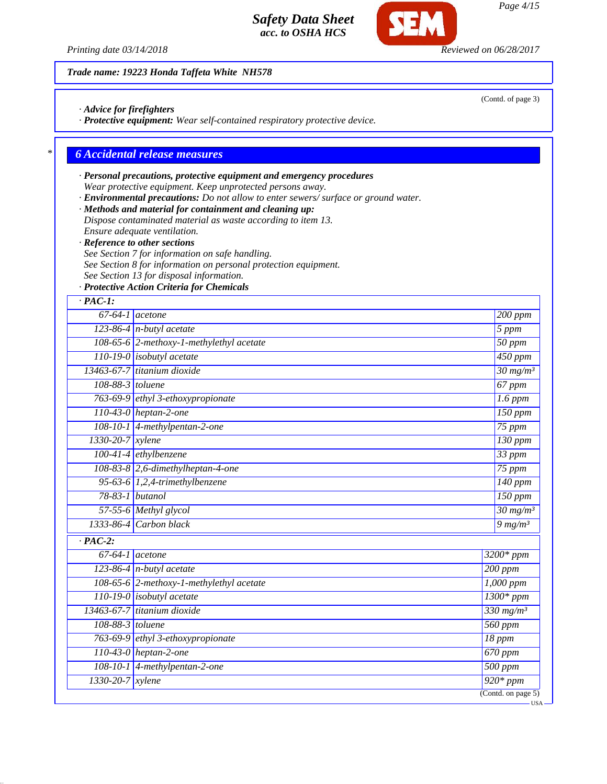*Printing date 03/14/2018 Reviewed on 06/28/2017*

*Trade name: 19223 Honda Taffeta White NH578*

*· Advice for firefighters*

*· Protective equipment: Wear self-contained respiratory protective device.*

### *\* 6 Accidental release measures*

- *· Personal precautions, protective equipment and emergency procedures Wear protective equipment. Keep unprotected persons away.*
- *· Environmental precautions: Do not allow to enter sewers/ surface or ground water.*
- *· Methods and material for containment and cleaning up: Dispose contaminated material as waste according to item 13. Ensure adequate ventilation.*
- *· Reference to other sections*
- *See Section 7 for information on safe handling.*
- *See Section 8 for information on personal protection equipment.*
- *See Section 13 for disposal information.*
- *· Protective Action Criteria for Chemicals*

| $67-64-1$ acetone    |                                          |  | $200$ ppm                              |
|----------------------|------------------------------------------|--|----------------------------------------|
|                      | $123-86-4$ n-butyl acetate               |  | 5 ppm                                  |
|                      | 108-65-6 2-methoxy-1-methylethyl acetate |  | $\overline{50}$ ppm                    |
|                      | $110-19-0$ isobutyl acetate              |  | 450 ppm                                |
|                      | 13463-67-7 titanium dioxide              |  | $30 \frac{mg}{m^3}$                    |
| 108-88-3 toluene     |                                          |  | 67 ppm                                 |
|                      | 763-69-9 ethyl 3-ethoxypropionate        |  | $1.6$ ppm                              |
|                      | 110-43-0 heptan-2-one                    |  | $150$ ppm                              |
|                      | 108-10-1 4-methylpentan-2-one            |  | $75$ ppm                               |
| 1330-20-7 xylene     |                                          |  | $130$ ppm                              |
|                      | $100-41-4$ ethylbenzene                  |  | 33 ppm                                 |
|                      | 108-83-8 2,6-dimethylheptan-4-one        |  | $75$ ppm                               |
|                      | 95-63-6 1,2,4-trimethylbenzene           |  | $140$ ppm                              |
| 78-83-1 butanol      |                                          |  | $150$ ppm                              |
|                      | 57-55-6 Methyl glycol                    |  | $\frac{30 \text{ mg}}{m}$ <sup>3</sup> |
| 1333-86-4            | Carbon black                             |  | $9 \, mg/m3$                           |
| $\overline{PAC-2}$ : |                                          |  |                                        |
| $67-64-1$ acetone    |                                          |  | $3200*$ ppm                            |
|                      | 123-86-4 $n$ -butyl acetate              |  | $200$ ppm                              |
|                      | 108-65-6 2-methoxy-1-methylethyl acetate |  | 1,000 ppm                              |
|                      | 110-19-0 isobutyl acetate                |  | $1300*ppm$                             |
|                      | 13463-67-7 titanium dioxide              |  | $330$ mg/m <sup>3</sup>                |
| 108-88-3 toluene     |                                          |  | 560 ppm                                |
|                      | 763-69-9 ethyl 3-ethoxypropionate        |  | $18$ ppm                               |
|                      | 110-43-0 heptan-2-one                    |  | $\overline{670}$ ppm                   |
|                      | 108-10-1 4-methylpentan-2-one            |  | 500 ppm                                |
| 1330-20-7            | xylene                                   |  | $\overline{920*}$ ppm                  |

(Contd. of page 3)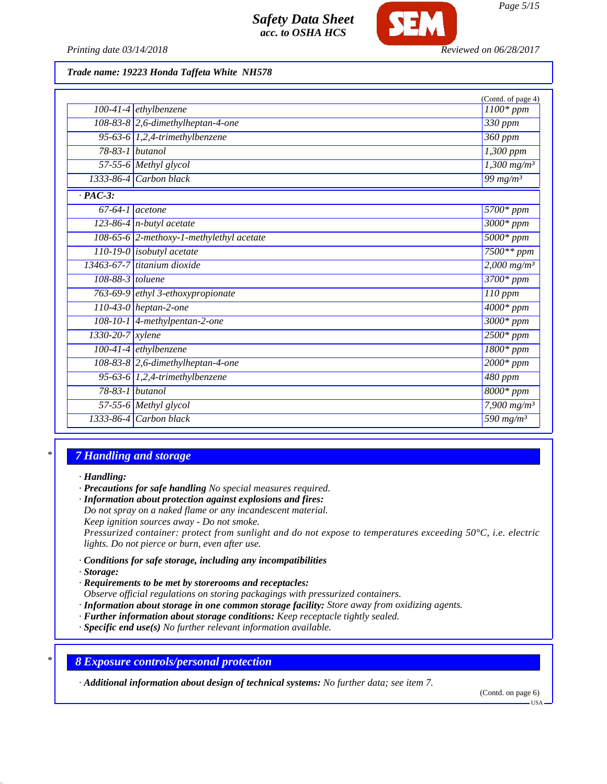

*Printing date 03/14/2018 Reviewed on 06/28/2017*

#### *Trade name: 19223 Honda Taffeta White NH578*

|                        |                                          | (Contd. of page 4)                |
|------------------------|------------------------------------------|-----------------------------------|
|                        | $100-41-4$ ethylbenzene                  | $1100*$ ppm                       |
|                        | $108-83-8$ 2,6-dimethylheptan-4-one      | 330 ppm                           |
|                        | 95-63-6 $1,2,4$ -trimethylbenzene        | 360 ppm                           |
| $78-83-1$ butanol      |                                          | $\overline{1,300}$ ppm            |
|                        | 57-55-6 Methyl glycol                    | $1,300$ mg/m <sup>3</sup>         |
|                        | $1333-86-4$ Carbon black                 | 99 $mg/m^3$                       |
| $\cdot$ PAC-3:         |                                          |                                   |
| $67-64-1$ acetone      |                                          | $\overline{57}00*ppm$             |
|                        | 123-86-4 $n$ -butyl acetate              | $3000*$ ppm                       |
|                        | 108-65-6 2-methoxy-1-methylethyl acetate | $5000*ppm$                        |
|                        | 110-19-0 isobutyl acetate                | $7500**$ ppm                      |
|                        | $13463-67-7$ titanium dioxide            | $2,000$ mg/m <sup>3</sup>         |
| 108-88-3 toluene       |                                          | $3700*ppm$                        |
|                        | 763-69-9 ethyl 3-ethoxypropionate        | $110$ ppm                         |
|                        | $110-43-0$ heptan-2-one                  | $\overline{4000}$ * ppm           |
|                        | 108-10-1 4-methylpentan-2-one            | $3000*$ ppm                       |
| $1330 - 20 - 7$ xylene |                                          | $2500*ppm$                        |
|                        | $100-41-4$ ethylbenzene                  | $1800*$ ppm                       |
|                        | $108-83-8$ 2,6-dimethylheptan-4-one      | $2000*$ ppm                       |
|                        | 95-63-6 $1,2,4$ -trimethylbenzene        | 480 ppm                           |
| 78-83-1 butanol        |                                          | $8000*$ ppm                       |
|                        | 57-55-6 Methyl glycol                    | 7,900 $mg/m^3$                    |
|                        | $1333-86-4$ Carbon black                 | $\frac{1}{590}$ mg/m <sup>3</sup> |

## *\* 7 Handling and storage*

*· Handling:*

*· Precautions for safe handling No special measures required.*

*· Information about protection against explosions and fires:*

*Do not spray on a naked flame or any incandescent material. Keep ignition sources away - Do not smoke.*

*Pressurized container: protect from sunlight and do not expose to temperatures exceeding 50°C, i.e. electric lights. Do not pierce or burn, even after use.*

- *· Conditions for safe storage, including any incompatibilities*
- *· Storage:*
- *· Requirements to be met by storerooms and receptacles: Observe official regulations on storing packagings with pressurized containers.*
- *· Information about storage in one common storage facility: Store away from oxidizing agents.*
- *· Further information about storage conditions: Keep receptacle tightly sealed.*
- *· Specific end use(s) No further relevant information available.*

*\* 8 Exposure controls/personal protection*

*· Additional information about design of technical systems: No further data; see item 7.*

(Contd. on page 6)

USA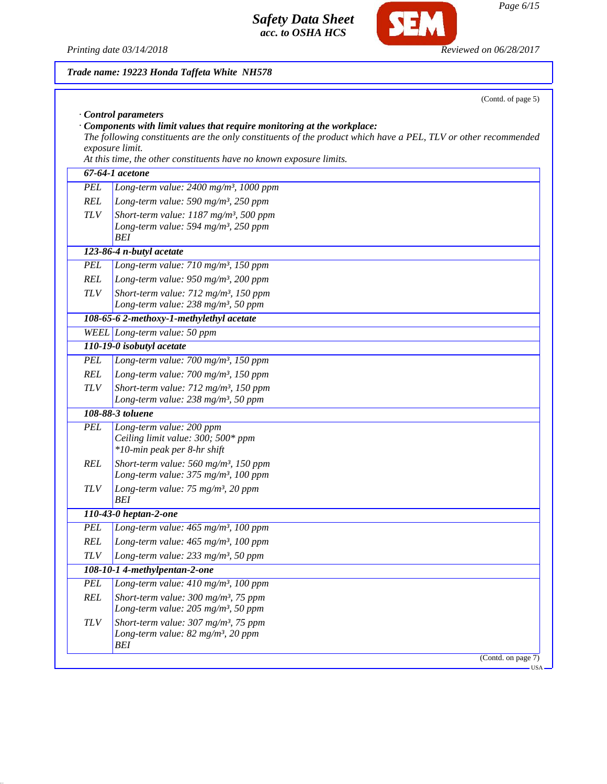*Printing date 03/14/2018 Reviewed on 06/28/2017*

*BEI*

**SEM** 

|            | Trade name: 19223 Honda Taffeta White NH578                                                                                                                                                                                                                                                                      |
|------------|------------------------------------------------------------------------------------------------------------------------------------------------------------------------------------------------------------------------------------------------------------------------------------------------------------------|
|            | (Contd. of page 5)                                                                                                                                                                                                                                                                                               |
|            | Control parameters<br>$\cdot$ Components with limit values that require monitoring at the workplace:<br>The following constituents are the only constituents of the product which have a PEL, TLV or other recommended<br>exposure limit.<br>At this time, the other constituents have no known exposure limits. |
|            | 67-64-1 acetone                                                                                                                                                                                                                                                                                                  |
| <b>PEL</b> | Long-term value: 2400 mg/m <sup>3</sup> , 1000 ppm                                                                                                                                                                                                                                                               |
| <b>REL</b> | Long-term value: 590 mg/m <sup>3</sup> , 250 ppm                                                                                                                                                                                                                                                                 |
| <b>TLV</b> | Short-term value: 1187 mg/m <sup>3</sup> , 500 ppm<br>Long-term value: 594 mg/m <sup>3</sup> , 250 ppm<br><b>BEI</b>                                                                                                                                                                                             |
|            | 123-86-4 n-butyl acetate                                                                                                                                                                                                                                                                                         |
| <b>PEL</b> | Long-term value: 710 mg/m <sup>3</sup> , 150 ppm                                                                                                                                                                                                                                                                 |
| <b>REL</b> | Long-term value: 950 mg/m <sup>3</sup> , 200 ppm                                                                                                                                                                                                                                                                 |
| <b>TLV</b> | Short-term value: 712 mg/m <sup>3</sup> , 150 ppm<br>Long-term value: 238 mg/m <sup>3</sup> , 50 ppm                                                                                                                                                                                                             |
|            | 108-65-6 2-methoxy-1-methylethyl acetate                                                                                                                                                                                                                                                                         |
|            | WEEL Long-term value: 50 ppm                                                                                                                                                                                                                                                                                     |
|            | 110-19-0 isobutyl acetate                                                                                                                                                                                                                                                                                        |
| <b>PEL</b> | Long-term value: $700$ mg/m <sup>3</sup> , 150 ppm                                                                                                                                                                                                                                                               |
| <b>REL</b> | Long-term value: $700$ mg/m <sup>3</sup> , 150 ppm                                                                                                                                                                                                                                                               |
| <b>TLV</b> | Short-term value: 712 mg/m <sup>3</sup> , 150 ppm                                                                                                                                                                                                                                                                |
|            | Long-term value: 238 mg/m <sup>3</sup> , 50 ppm                                                                                                                                                                                                                                                                  |
|            | 108-88-3 toluene                                                                                                                                                                                                                                                                                                 |
| <b>PEL</b> | Long-term value: 200 ppm<br>Ceiling limit value: 300; 500* ppm<br>*10-min peak per 8-hr shift                                                                                                                                                                                                                    |
| <b>REL</b> | Short-term value: 560 mg/m <sup>3</sup> , 150 ppm<br>Long-term value: $375 \text{ mg/m}^3$ , 100 ppm                                                                                                                                                                                                             |
| <b>TLV</b> | Long-term value: 75 mg/m <sup>3</sup> , 20 ppm<br>BEI                                                                                                                                                                                                                                                            |
|            | 110-43-0 heptan-2-one                                                                                                                                                                                                                                                                                            |
| <b>PEL</b> | Long-term value: 465 mg/m <sup>3</sup> , 100 ppm                                                                                                                                                                                                                                                                 |
| REL        | Long-term value: 465 mg/m <sup>3</sup> , 100 ppm                                                                                                                                                                                                                                                                 |
| $TLV$      | Long-term value: $233$ mg/m <sup>3</sup> , 50 ppm                                                                                                                                                                                                                                                                |
|            | 108-10-1 4-methylpentan-2-one                                                                                                                                                                                                                                                                                    |
| <b>PEL</b> | Long-term value: 410 mg/m <sup>3</sup> , 100 ppm                                                                                                                                                                                                                                                                 |
| <b>REL</b> | Short-term value: $300$ mg/m <sup>3</sup> , 75 ppm<br>Long-term value: 205 mg/m <sup>3</sup> , 50 ppm                                                                                                                                                                                                            |
| <b>TLV</b> | Short-term value: $307 \text{ mg/m}^3$ , 75 ppm<br>Long-term value: 82 mg/m <sup>3</sup> , 20 ppm                                                                                                                                                                                                                |

(Contd. on page 7)  $-<sub>USA</sub>$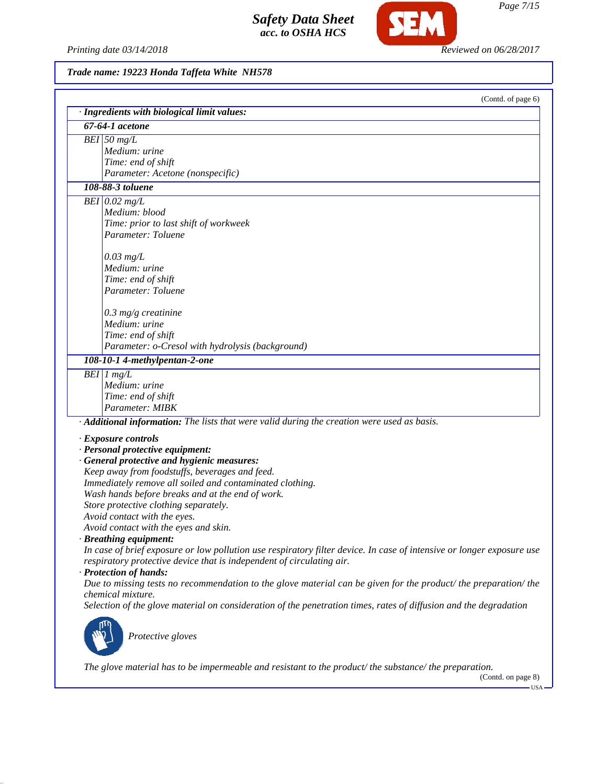*Printing date 03/14/2018 Reviewed on 06/28/2017*

**SEM** 

*Trade name: 19223 Honda Taffeta White NH578*

| (Contd. of page 6)                                                                                                    |
|-----------------------------------------------------------------------------------------------------------------------|
| · Ingredients with biological limit values:                                                                           |
| 67-64-1 acetone                                                                                                       |
| $BEI$ 50 mg/L<br>Medium: urine                                                                                        |
| Time: end of shift                                                                                                    |
| Parameter: Acetone (nonspecific)                                                                                      |
| 108-88-3 toluene                                                                                                      |
|                                                                                                                       |
| $BEI$ 0.02 mg/L<br>Medium: blood                                                                                      |
|                                                                                                                       |
| Time: prior to last shift of workweek<br>Parameter: Toluene                                                           |
|                                                                                                                       |
| $0.03$ mg/L                                                                                                           |
| Medium: urine                                                                                                         |
| Time: end of shift                                                                                                    |
| Parameter: Toluene                                                                                                    |
|                                                                                                                       |
| $0.3$ mg/g creatinine                                                                                                 |
| Medium: urine                                                                                                         |
| Time: end of shift                                                                                                    |
| Parameter: o-Cresol with hydrolysis (background)                                                                      |
| 108-10-1 4-methylpentan-2-one                                                                                         |
| $BEI$ 1 mg/L                                                                                                          |
| Medium: urine                                                                                                         |
| Time: end of shift                                                                                                    |
| Parameter: MIBK                                                                                                       |
| · Additional information: The lists that were valid during the creation were used as basis.                           |
| · Exposure controls                                                                                                   |
| · Personal protective equipment:                                                                                      |
| · General protective and hygienic measures:                                                                           |
| Keep away from foodstuffs, beverages and feed.                                                                        |
| Immediately remove all soiled and contaminated clothing.                                                              |
| Wash hands before breaks and at the end of work.                                                                      |
| Store protective clothing separately.                                                                                 |
| Avoid contact with the eyes.                                                                                          |
| Avoid contact with the eyes and skin.                                                                                 |
| · Breathing equipment:                                                                                                |
| In case of brief exposure or low pollution use respiratory filter device. In case of intensive or longer exposure use |
| respiratory protective device that is independent of circulating air.                                                 |
| · Protection of hands:                                                                                                |
| Due to missing tests no recommendation to the glove material can be given for the product/ the preparation/ the       |
| chemical mixture.                                                                                                     |
| Selection of the glove material on consideration of the penetration times, rates of diffusion and the degradation     |
|                                                                                                                       |
| Protective gloves                                                                                                     |
| The glove material has to be impermeable and resistant to the product/the substance/the preparation.                  |

(Contd. on page 8)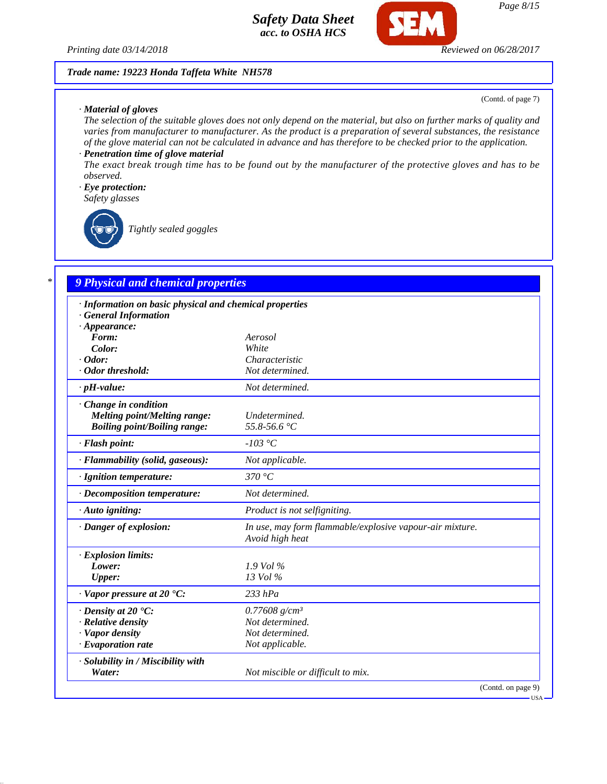

#### *Trade name: 19223 Honda Taffeta White NH578*

### *· Material of gloves*

(Contd. of page 7)

USA

*The selection of the suitable gloves does not only depend on the material, but also on further marks of quality and varies from manufacturer to manufacturer. As the product is a preparation of several substances, the resistance of the glove material can not be calculated in advance and has therefore to be checked prior to the application.*

## *· Penetration time of glove material*

*The exact break trough time has to be found out by the manufacturer of the protective gloves and has to be observed.*

## *· Eye protection:*

*Safety glasses*

*Tightly sealed goggles*

## *\* 9 Physical and chemical properties*

| · Information on basic physical and chemical properties |                                                                             |
|---------------------------------------------------------|-----------------------------------------------------------------------------|
| <b>General Information</b>                              |                                                                             |
| $\cdot$ Appearance:                                     |                                                                             |
| Form:                                                   | Aerosol                                                                     |
| Color:                                                  | White                                                                       |
| $\cdot$ Odor:                                           | Characteristic                                                              |
| · Odor threshold:                                       | Not determined.                                                             |
| $\cdot$ pH-value:                                       | Not determined.                                                             |
| $\cdot$ Change in condition                             |                                                                             |
| <b>Melting point/Melting range:</b>                     | Undetermined.                                                               |
| <b>Boiling point/Boiling range:</b>                     | 55.8-56.6 °C                                                                |
| · Flash point:                                          | $-103$ °C                                                                   |
| · Flammability (solid, gaseous):                        | Not applicable.                                                             |
| · Ignition temperature:                                 | 370 $\degree$ C                                                             |
| $\cdot$ Decomposition temperature:                      | Not determined.                                                             |
| $\cdot$ Auto igniting:                                  | Product is not selfigniting.                                                |
| · Danger of explosion:                                  | In use, may form flammable/explosive vapour-air mixture.<br>Avoid high heat |
| $\cdot$ Explosion limits:                               |                                                                             |
| Lower:                                                  | $1.9$ Vol %                                                                 |
| <b>Upper:</b>                                           | 13 Vol %                                                                    |
| $\cdot$ Vapor pressure at 20 $\cdot$ C:                 | $233$ hPa                                                                   |
| $\cdot$ Density at 20 $\cdot$ C:                        | $0.77608$ g/cm <sup>3</sup>                                                 |
| · Relative density                                      | Not determined.                                                             |
| · Vapor density                                         | Not determined.                                                             |
| $\cdot$ Evaporation rate                                | Not applicable.                                                             |
| · Solubility in / Miscibility with                      |                                                                             |
| Water:                                                  | Not miscible or difficult to mix.                                           |
|                                                         | (Contd. on page 9)                                                          |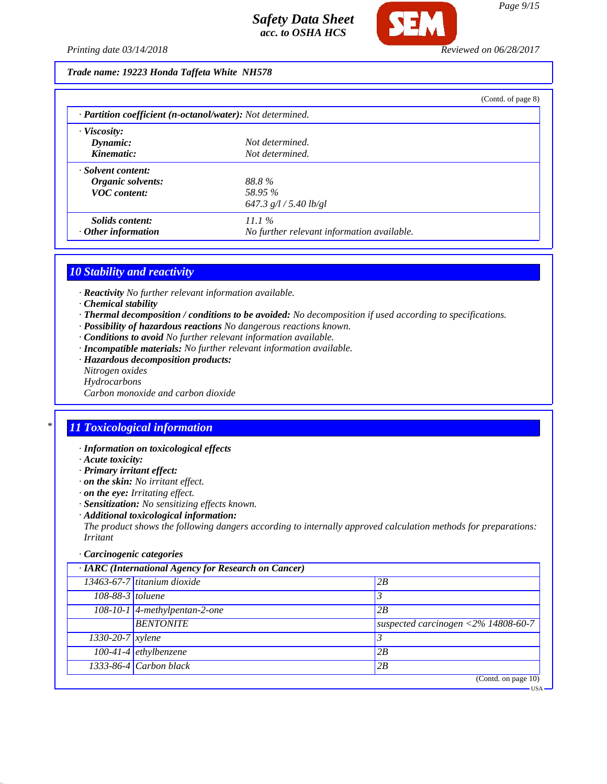

## *Trade name: 19223 Honda Taffeta White NH578*

|                                                            |                                            | (Contd. of page 8) |
|------------------------------------------------------------|--------------------------------------------|--------------------|
| · Partition coefficient (n-octanol/water): Not determined. |                                            |                    |
| $\cdot$ Viscosity:                                         |                                            |                    |
| Dynamic:                                                   | Not determined.                            |                    |
| Kinematic:                                                 | Not determined.                            |                    |
| · Solvent content:                                         |                                            |                    |
| Organic solvents:                                          | 88.8%                                      |                    |
| <b>VOC</b> content:                                        | 58.95 %                                    |                    |
|                                                            | 647.3 $g/l / 5.40$ lb/gl                   |                    |
| Solids content:                                            | 11.1%                                      |                    |
| $\cdot$ Other information                                  | No further relevant information available. |                    |

### *10 Stability and reactivity*

- *· Reactivity No further relevant information available.*
- *· Chemical stability*
- *· Thermal decomposition / conditions to be avoided: No decomposition if used according to specifications.*
- *· Possibility of hazardous reactions No dangerous reactions known.*
- *· Conditions to avoid No further relevant information available.*
- *· Incompatible materials: No further relevant information available.*
- *· Hazardous decomposition products:*
- *Nitrogen oxides*
- *Hydrocarbons*
- *Carbon monoxide and carbon dioxide*

## *\* 11 Toxicological information*

- *· Information on toxicological effects*
- *· Acute toxicity:*
- *· Primary irritant effect:*
- *· on the skin: No irritant effect.*
- *· on the eye: Irritating effect.*
- *· Sensitization: No sensitizing effects known.*
- *· Additional toxicological information:*

*The product shows the following dangers according to internally approved calculation methods for preparations: Irritant*

### *· Carcinogenic categories*

| · IARC (International Agency for Research on Cancer) |                                 |                                                           |  |
|------------------------------------------------------|---------------------------------|-----------------------------------------------------------|--|
|                                                      | $13463-67-7$ titanium dioxide   | 2B                                                        |  |
| 108-88-3 toluene                                     |                                 |                                                           |  |
|                                                      | $108-10-1$ 4-methylpentan-2-one | 2B                                                        |  |
|                                                      | <b>BENTONITE</b>                | suspected carcinogen $\langle 2\% 14808 - 60 - 7 \rangle$ |  |
| $1330 - 20 - 7$ <i>xylene</i>                        |                                 |                                                           |  |
|                                                      | $100-41-4$ ethylbenzene         | 2B                                                        |  |
|                                                      | 1333-86-4 Carbon black          | 2B                                                        |  |
|                                                      |                                 | (Contd. on page $10$ )                                    |  |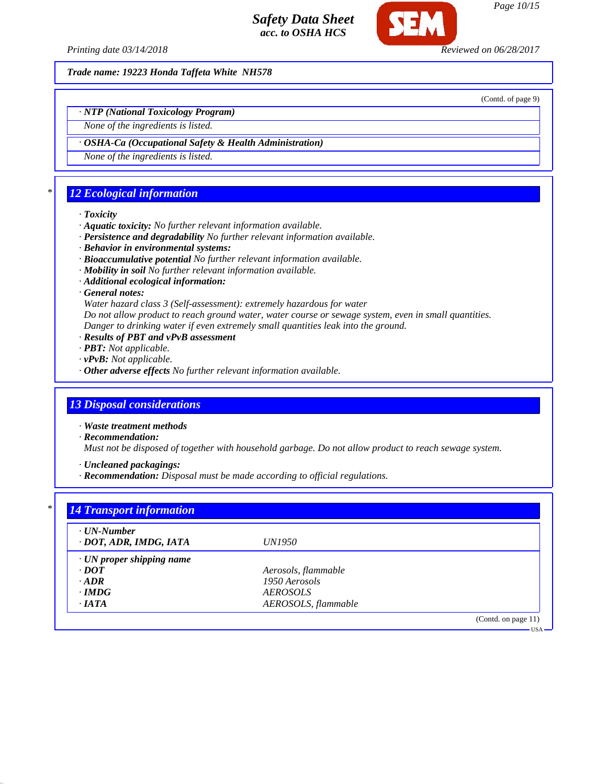

*Page 10/15*

*Printing date 03/14/2018 Reviewed on 06/28/2017*

*Trade name: 19223 Honda Taffeta White NH578*

(Contd. of page 9)

*· NTP (National Toxicology Program)*

*None of the ingredients is listed.*

*· OSHA-Ca (Occupational Safety & Health Administration)*

*None of the ingredients is listed.*

# *\* 12 Ecological information*

#### *· Toxicity*

- *· Aquatic toxicity: No further relevant information available.*
- *· Persistence and degradability No further relevant information available.*
- *· Behavior in environmental systems:*
- *· Bioaccumulative potential No further relevant information available.*
- *· Mobility in soil No further relevant information available.*
- *· Additional ecological information:*
- *· General notes:*

*Water hazard class 3 (Self-assessment): extremely hazardous for water*

*Do not allow product to reach ground water, water course or sewage system, even in small quantities.*

- *Danger to drinking water if even extremely small quantities leak into the ground.*
- *· Results of PBT and vPvB assessment*
- *· PBT: Not applicable.*
- *· vPvB: Not applicable.*
- *· Other adverse effects No further relevant information available.*

## *13 Disposal considerations*

*· Waste treatment methods*

*· Recommendation:*

*Must not be disposed of together with household garbage. Do not allow product to reach sewage system.*

*· Uncleaned packagings:*

*· Recommendation: Disposal must be made according to official regulations.*

| · UN-Number                     |                        |  |
|---------------------------------|------------------------|--|
| · DOT, ADR, IMDG, IATA          | <i>UN1950</i>          |  |
| $\cdot$ UN proper shipping name |                        |  |
| $\cdot$ <i>DOT</i>              | Aerosols, flammable    |  |
| $\cdot$ ADR                     | 1950 Aerosols          |  |
| $\cdot$ IMDG                    | <i><b>AEROSOLS</b></i> |  |
| $\cdot$ IATA                    | AEROSOLS, flammable    |  |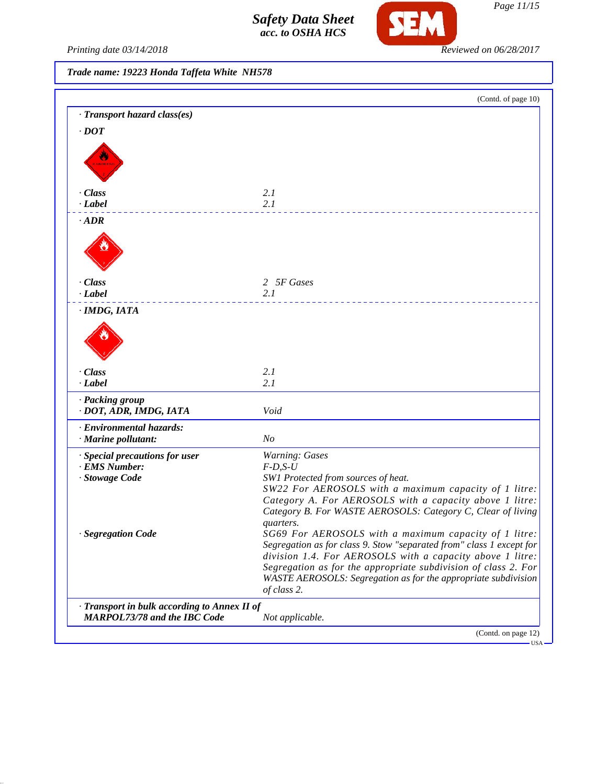

Printing date 03/14/2018 **Reviewed on 06/28/2017** 

*Trade name: 19223 Honda Taffeta White NH578*

|                                              | (Contd. of page 10)                                                                                                    |
|----------------------------------------------|------------------------------------------------------------------------------------------------------------------------|
| · Transport hazard class(es)                 |                                                                                                                        |
| $\cdot$ <i>DOT</i>                           |                                                                                                                        |
|                                              |                                                                                                                        |
|                                              |                                                                                                                        |
|                                              |                                                                                                                        |
| · Class                                      | 2.1                                                                                                                    |
| · Label                                      | 2.1                                                                                                                    |
| $\cdot$ ADR                                  |                                                                                                                        |
|                                              |                                                                                                                        |
|                                              |                                                                                                                        |
|                                              |                                                                                                                        |
| · Class                                      | 2 5F Gases                                                                                                             |
| · Label                                      | 2.1                                                                                                                    |
| · IMDG, IATA                                 |                                                                                                                        |
|                                              |                                                                                                                        |
|                                              |                                                                                                                        |
|                                              |                                                                                                                        |
|                                              |                                                                                                                        |
| · Class<br>· Label                           | 2.1<br>2.1                                                                                                             |
|                                              |                                                                                                                        |
| · Packing group<br>· DOT, ADR, IMDG, IATA    | Void                                                                                                                   |
| · Environmental hazards:                     |                                                                                                                        |
| · Marine pollutant:                          | N <sub>O</sub>                                                                                                         |
| · Special precautions for user               | <b>Warning: Gases</b>                                                                                                  |
| · EMS Number:                                | $F-D, S-U$                                                                                                             |
| · Stowage Code                               | SW1 Protected from sources of heat.                                                                                    |
|                                              | SW22 For AEROSOLS with a maximum capacity of 1 litre:                                                                  |
|                                              | Category A. For AEROSOLS with a capacity above 1 litre:<br>Category B. For WASTE AEROSOLS: Category C, Clear of living |
|                                              | quarters.                                                                                                              |
| · Segregation Code                           | SG69 For AEROSOLS with a maximum capacity of 1 litre:                                                                  |
|                                              | Segregation as for class 9. Stow "separated from" class 1 except for                                                   |
|                                              | division 1.4. For AEROSOLS with a capacity above 1 litre:                                                              |
|                                              | Segregation as for the appropriate subdivision of class 2. For                                                         |
|                                              | WASTE AEROSOLS: Segregation as for the appropriate subdivision                                                         |
|                                              | of class 2.                                                                                                            |
| · Transport in bulk according to Annex II of |                                                                                                                        |
| <b>MARPOL73/78 and the IBC Code</b>          | Not applicable.                                                                                                        |
|                                              | (Contd. on page 12)                                                                                                    |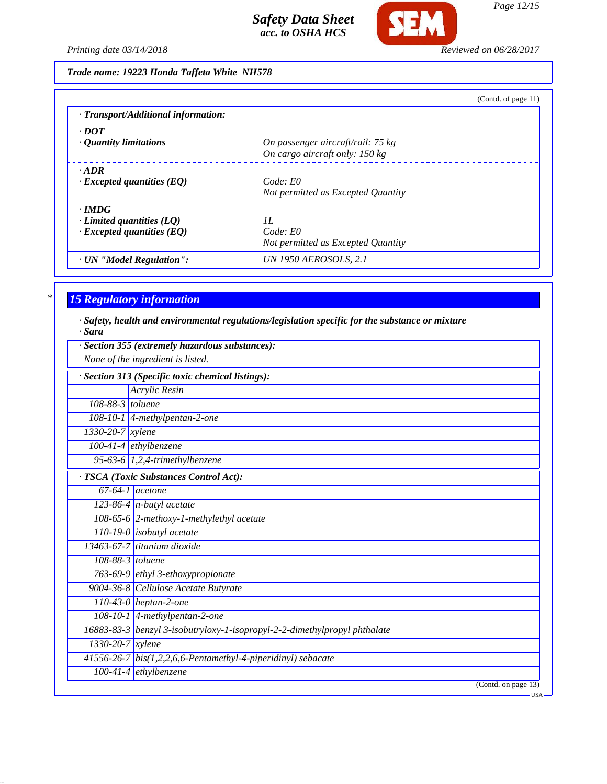

*Page 12/15*

*Printing date 03/14/2018 Reviewed on 06/28/2017*

|                                     | (Contd. of page $11$ )             |
|-------------------------------------|------------------------------------|
| · Transport/Additional information: |                                    |
| $\cdot$ DOT                         |                                    |
| $\cdot$ Quantity limitations        | On passenger aircraft/rail: 75 kg  |
|                                     | On cargo aircraft only: 150 kg     |
| $\cdot$ ADR                         |                                    |
| $\cdot$ Excepted quantities (EQ)    | Code: E0                           |
|                                     | Not permitted as Excepted Quantity |
| $\cdot$ IMDG                        |                                    |
| $\cdot$ Limited quantities (LQ)     | II.                                |
| $\cdot$ Excepted quantities (EQ)    | Code: E0                           |
|                                     | Not permitted as Excepted Quantity |
| · UN "Model Regulation":            | UN 1950 AEROSOLS, 2.1              |

# *\* 15 Regulatory information*

*· Safety, health and environmental regulations/legislation specific for the substance or mixture · Sara*

|                        | None of the ingredient is listed.                                         |
|------------------------|---------------------------------------------------------------------------|
|                        | Section 313 (Specific toxic chemical listings):                           |
|                        | Acrylic Resin                                                             |
| 108-88-3 toluene       |                                                                           |
|                        | $\overline{108-10-1}$ 4-methylpentan-2-one                                |
| 1330-20-7 xylene       |                                                                           |
|                        | $100-41-4$ ethylbenzene                                                   |
|                        | 95-63-6 $1,2,4$ -trimethylbenzene                                         |
|                        | TSCA (Toxic Substances Control Act):                                      |
|                        | $67-64-1$ acetone                                                         |
|                        | 123-86-4 $n$ -butyl acetate                                               |
|                        | 108-65-6 2-methoxy-1-methylethyl acetate                                  |
|                        | $110-19-0$ isobutyl acetate                                               |
|                        | $13463 - 67 - 7$ titanium dioxide                                         |
|                        | 108-88-3 toluene                                                          |
|                        | 763-69-9 ethyl 3-ethoxypropionate                                         |
|                        | 9004-36-8 Cellulose Acetate Butyrate                                      |
|                        | $110-43-0$ heptan-2-one                                                   |
|                        | 108-10-1 4-methylpentan-2-one                                             |
|                        | 16883-83-3 benzyl 3-isobutryloxy-1-isopropyl-2-2-dimethylpropyl phthalate |
| $1330 - 20 - 7$ xylene |                                                                           |
|                        | $41556-26-7$ bis(1,2,2,6,6-Pentamethyl-4-piperidinyl) sebacate            |
|                        | $100-41-4$ ethylbenzene                                                   |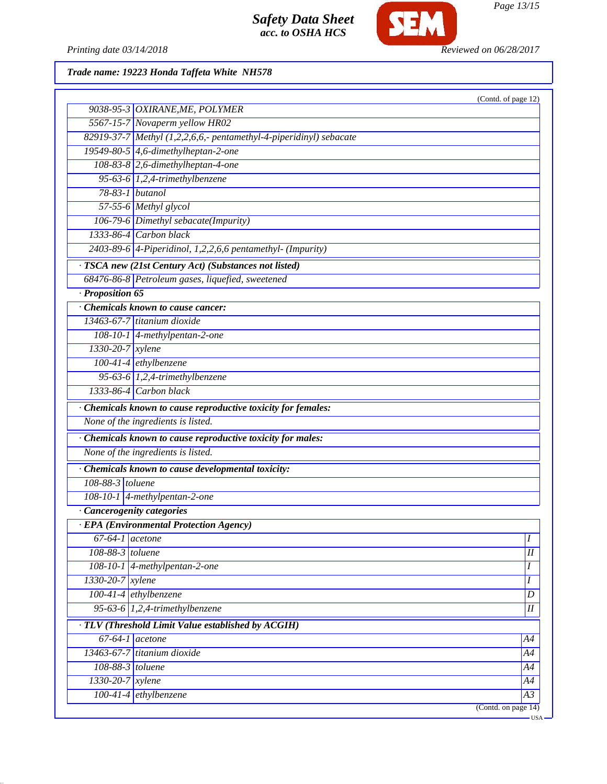

*Page 13/15*

Printing date 03/14/2018 **Reviewed on 06/28/2017** 

*Trade name: 19223 Honda Taffeta White NH578*

|                              |                                                                    | (Contd. of page 12) |
|------------------------------|--------------------------------------------------------------------|---------------------|
|                              | 9038-95-3 OXIRANE, ME, POLYMER                                     |                     |
|                              | 5567-15-7 Novaperm yellow HR02                                     |                     |
|                              | 82919-37-7 Methyl (1,2,2,6,6,- pentamethyl-4-piperidinyl) sebacate |                     |
|                              | 19549-80-5 4,6-dimethylheptan-2-one                                |                     |
|                              | 108-83-8 2,6-dimethylheptan-4-one                                  |                     |
|                              | 95-63-6 $1,2,4$ -trimethylbenzene                                  |                     |
| 78-83-1 butanol              |                                                                    |                     |
|                              | 57-55-6 Methyl glycol                                              |                     |
|                              | 106-79-6 Dimethyl sebacate(Impurity)                               |                     |
|                              | 1333-86-4 Carbon black                                             |                     |
|                              | $2403-89-6$ 4-Piperidinol, 1,2,2,6,6 pentamethyl- (Impurity)       |                     |
|                              | · TSCA new (21st Century Act) (Substances not listed)              |                     |
|                              | 68476-86-8 Petroleum gases, liquefied, sweetened                   |                     |
| · Proposition 65             |                                                                    |                     |
|                              | Chemicals known to cause cancer:                                   |                     |
|                              | 13463-67-7 titanium dioxide                                        |                     |
|                              | 108-10-1 4-methylpentan-2-one                                      |                     |
| 1330-20-7 xylene             |                                                                    |                     |
|                              | $100-41-4$ ethylbenzene                                            |                     |
|                              | 95-63-6 $1,2,4$ -trimethylbenzene                                  |                     |
|                              | $1333-86-4$ Carbon black                                           |                     |
|                              | · Chemicals known to cause reproductive toxicity for females:      |                     |
|                              | None of the ingredients is listed.                                 |                     |
|                              | · Chemicals known to cause reproductive toxicity for males:        |                     |
|                              | None of the ingredients is listed.                                 |                     |
|                              | · Chemicals known to cause developmental toxicity:                 |                     |
| 108-88-3 toluene             |                                                                    |                     |
|                              | 108-10-1 4-methylpentan-2-one                                      |                     |
| · Cancerogenity categories   |                                                                    |                     |
|                              | · EPA (Environmental Protection Agency)                            |                     |
|                              | $67-64-1$ acetone                                                  | $\boldsymbol{I}$    |
| 108-88-3 toluene             |                                                                    | $\overline{I}$      |
|                              | 108-10-1 4-methylpentan-2-one                                      | Ι                   |
| 1330-20-7 xylene             |                                                                    | I                   |
| $100-41-4$ ethylbenzene      |                                                                    | D                   |
|                              | 95-63-6 1,2,4-trimethylbenzene                                     | $\overline{I}$      |
|                              | · TLV (Threshold Limit Value established by ACGIH)                 |                     |
| $\overline{67-64-1}$ acetone |                                                                    | A4                  |
|                              | 13463-67-7 titanium dioxide                                        | A4                  |
|                              |                                                                    |                     |
| $108-88-3$ toluene           |                                                                    | A4                  |
| 1330-20-7 xylene             |                                                                    | A4                  |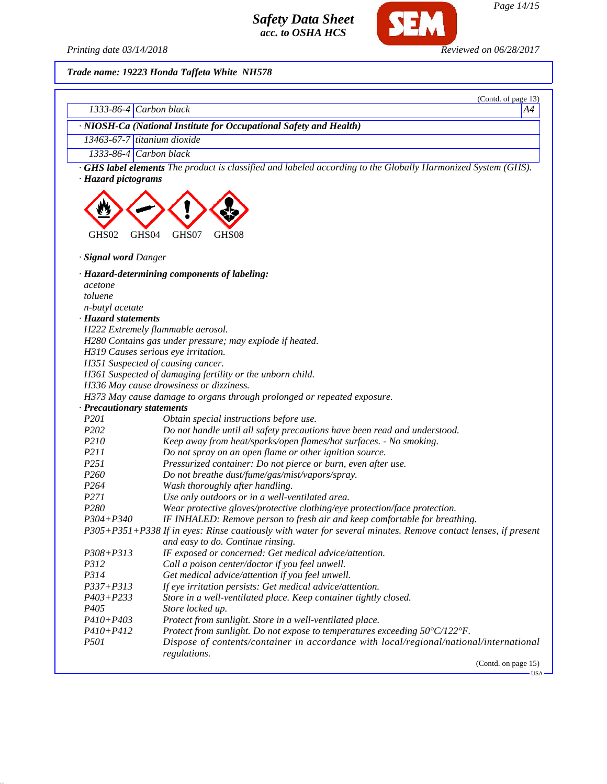SEM

*Page 14/15*

*Printing date 03/14/2018 Reviewed on 06/28/2017*

*Trade name: 19223 Honda Taffeta White NH578*

| 1333-86-4 Carbon black        | (Contd. of page 13)<br>A4                                                                                                                          |
|-------------------------------|----------------------------------------------------------------------------------------------------------------------------------------------------|
|                               |                                                                                                                                                    |
|                               | · NIOSH-Ca (National Institute for Occupational Safety and Health)                                                                                 |
| $13463-67-7$ titanium dioxide |                                                                                                                                                    |
| 1333-86-4 Carbon black        |                                                                                                                                                    |
| · Hazard pictograms           | · GHS label elements The product is classified and labeled according to the Globally Harmonized System (GHS).                                      |
|                               |                                                                                                                                                    |
| GHS02<br>GHS04                | GHS07<br>GHS08                                                                                                                                     |
| · Signal word Danger          |                                                                                                                                                    |
|                               | · Hazard-determining components of labeling:                                                                                                       |
| acetone                       |                                                                                                                                                    |
| toluene                       |                                                                                                                                                    |
| n-butyl acetate               |                                                                                                                                                    |
| · Hazard statements           |                                                                                                                                                    |
|                               | H222 Extremely flammable aerosol.                                                                                                                  |
|                               | H280 Contains gas under pressure; may explode if heated.                                                                                           |
|                               | H319 Causes serious eye irritation.                                                                                                                |
|                               | H351 Suspected of causing cancer.                                                                                                                  |
|                               | H361 Suspected of damaging fertility or the unborn child.                                                                                          |
|                               | H336 May cause drowsiness or dizziness.                                                                                                            |
|                               | H373 May cause damage to organs through prolonged or repeated exposure.                                                                            |
| · Precautionary statements    |                                                                                                                                                    |
| P <sub>201</sub>              | Obtain special instructions before use.                                                                                                            |
| P202                          | Do not handle until all safety precautions have been read and understood.                                                                          |
| P210                          | Keep away from heat/sparks/open flames/hot surfaces. - No smoking.                                                                                 |
| P211                          | Do not spray on an open flame or other ignition source.                                                                                            |
| P251                          | Pressurized container: Do not pierce or burn, even after use.                                                                                      |
| P260                          | Do not breathe dust/fume/gas/mist/vapors/spray.                                                                                                    |
| P <sub>264</sub>              | Wash thoroughly after handling.                                                                                                                    |
| P271                          | Use only outdoors or in a well-ventilated area.                                                                                                    |
| P280                          | Wear protective gloves/protective clothing/eye protection/face protection.                                                                         |
| P304+P340                     | IF INHALED: Remove person to fresh air and keep comfortable for breathing.                                                                         |
|                               | P305+P351+P338 If in eyes: Rinse cautiously with water for several minutes. Remove contact lenses, if present<br>and easy to do. Continue rinsing. |
| P308+P313                     | IF exposed or concerned: Get medical advice/attention.                                                                                             |
| P312                          | Call a poison center/doctor if you feel unwell.                                                                                                    |
| P314                          | Get medical advice/attention if you feel unwell.                                                                                                   |
| $P337 + P313$                 | If eye irritation persists: Get medical advice/attention.                                                                                          |
| $P403 + P233$                 | Store in a well-ventilated place. Keep container tightly closed.                                                                                   |
| P <sub>405</sub>              | Store locked up.                                                                                                                                   |
| P410+P403                     | Protect from sunlight. Store in a well-ventilated place.                                                                                           |
| $P410 + P412$                 | Protect from sunlight. Do not expose to temperatures exceeding 50°C/122°F.                                                                         |
| <i>P501</i>                   | Dispose of contents/container in accordance with local/regional/national/international                                                             |
|                               | regulations.                                                                                                                                       |

(Contd. on page 15)

 $-<sub>USA</sub>$